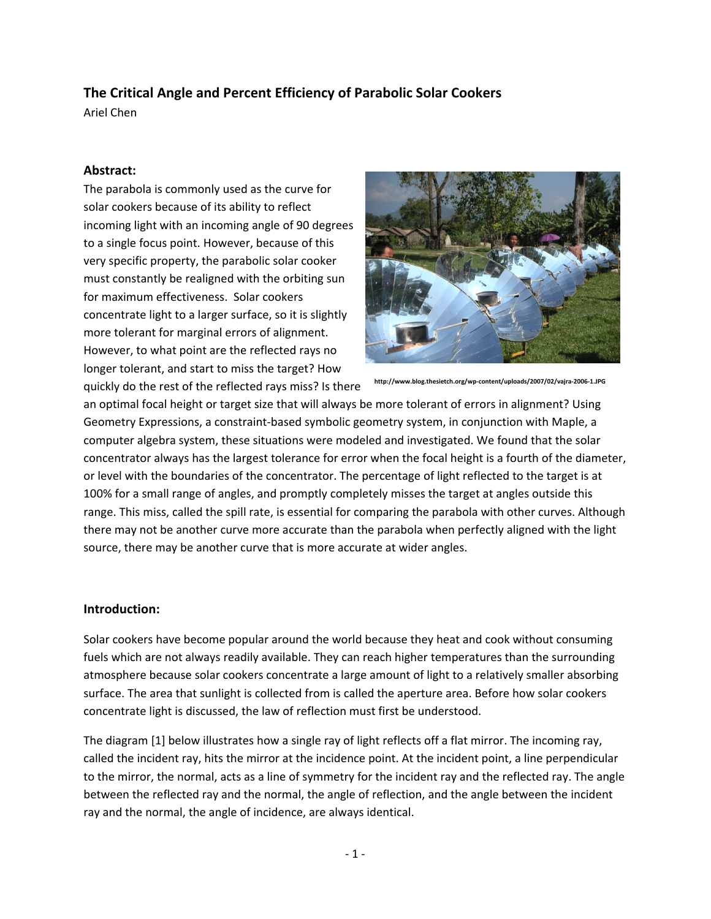# **The Critical Angle and Percent Efficiency of Parabolic Solar Cookers**

Ariel Chen

## **Abstract:**

The parabola is commonly used as the curve for solar cookers because of its ability to reflect incoming light with an incoming angle of 90 degrees to a single focus point. However, because of this very specific property, the parabolic solar cooker must constantly be realigned with the orbiting sun for maximum effectiveness. Solar cookers concentrate light to a larger surface, so it is slightly more tolerant for marginal errors of alignment. However, to what point are the reflected rays no longer tolerant, and start to miss the target? How quickly do the rest of the reflected rays miss? Is there



**http://www.blog.thesietch.org/wp‐content/uploads/2007/02/vajra‐2006‐1.JPG**

an optimal focal height or target size that will always be more tolerant of errors in alignment? Using Geometry Expressions, a constraint‐based symbolic geometry system, in conjunction with Maple, a computer algebra system, these situations were modeled and investigated. We found that the solar concentrator always has the largest tolerance for error when the focal height is a fourth of the diameter, or level with the boundaries of the concentrator. The percentage of light reflected to the target is at 100% for a small range of angles, and promptly completely misses the target at angles outside this range. This miss, called the spill rate, is essential for comparing the parabola with other curves. Although there may not be another curve more accurate than the parabola when perfectly aligned with the light source, there may be another curve that is more accurate at wider angles.

### **Introduction:**

Solar cookers have become popular around the world because they heat and cook without consuming fuels which are not always readily available. They can reach higher temperatures than the surrounding atmosphere because solar cookers concentrate a large amount of light to a relatively smaller absorbing surface. The area that sunlight is collected from is called the aperture area. Before how solar cookers concentrate light is discussed, the law of reflection must first be understood.

The diagram [1] below illustrates how a single ray of light reflects off a flat mirror. The incoming ray, called the incident ray, hits the mirror at the incidence point. At the incident point, a line perpendicular to the mirror, the normal, acts as a line of symmetry for the incident ray and the reflected ray. The angle between the reflected ray and the normal, the angle of reflection, and the angle between the incident ray and the normal, the angle of incidence, are always identical.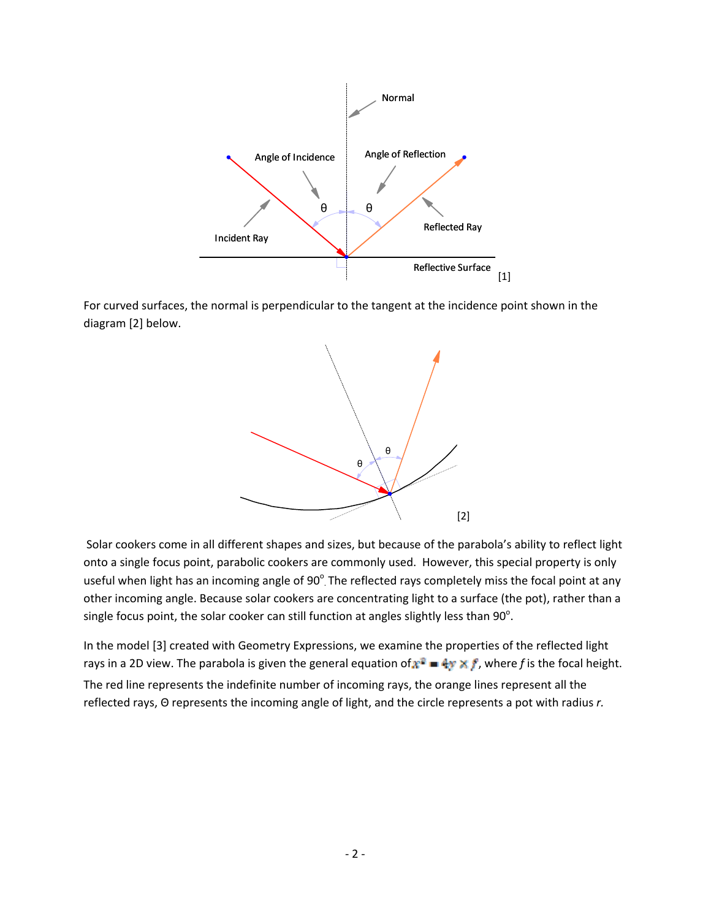

For curved surfaces, the normal is perpendicular to the tangent at the incidence point shown in the diagram [2] below.



Solar cookers come in all different shapes and sizes, but because of the parabola's ability to reflect light onto a single focus point, parabolic cookers are commonly used. However, this special property is only useful when light has an incoming angle of  $90^{\circ}$  The reflected rays completely miss the focal point at any other incoming angle. Because solar cookers are concentrating light to a surface (the pot), rather than a single focus point, the solar cooker can still function at angles slightly less than  $90^{\circ}$ .

In the model [3] created with Geometry Expressions, we examine the properties of the reflected light rays in a 2D view. The parabola is given the general equation of  $\mathbf{r}^2 = 4\mathbf{y} \times \mathbf{f}$ , where f is the focal height. The red line represents the indefinite number of incoming rays, the orange lines represent all the reflected rays, Θ represents the incoming angle of light, and the circle represents a pot with radius *r.*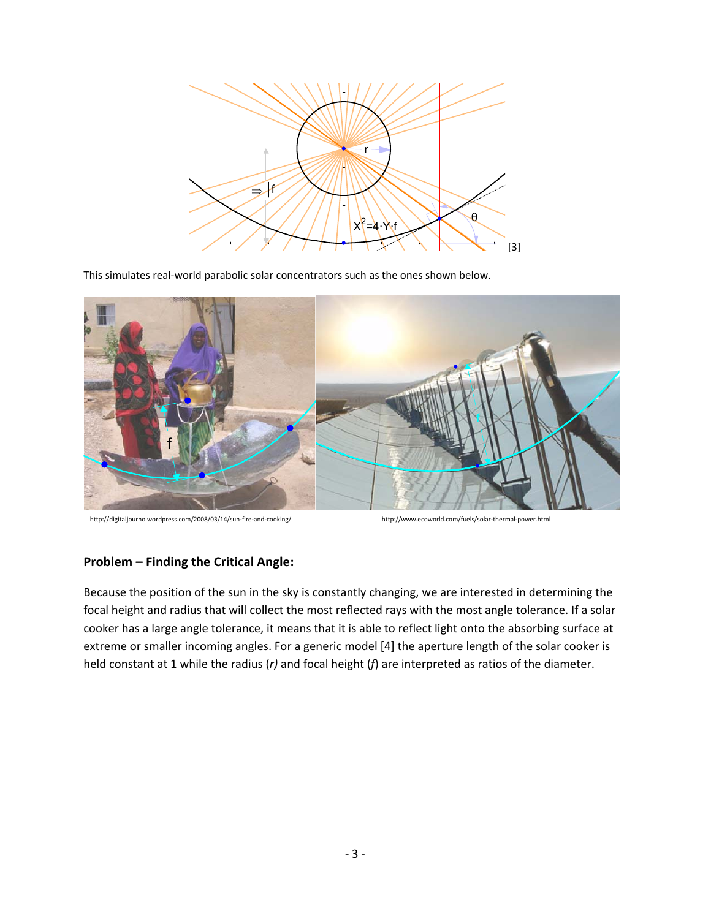

This simulates real-world parabolic solar concentrators such as the ones shown below.



http://digitaljourno.wordpress.com/2008/03/14/sun‐fire‐and‐cooking/ http://www.ecoworld.com/fuels/solar‐thermal‐power.html

#### **Problem – Finding the Critical Angle:**

Because the position of the sun in the sky is constantly changing, we are interested in determining the focal height and radius that will collect the most reflected rays with the most angle tolerance. If a solar cooker has a large angle tolerance, it means that it is able to reflect light onto the absorbing surface at extreme or smaller incoming angles. For a generic model [4] the aperture length of the solar cooker is held constant at 1 while the radius (*r)* and focal height (*f*) are interpreted as ratios of the diameter.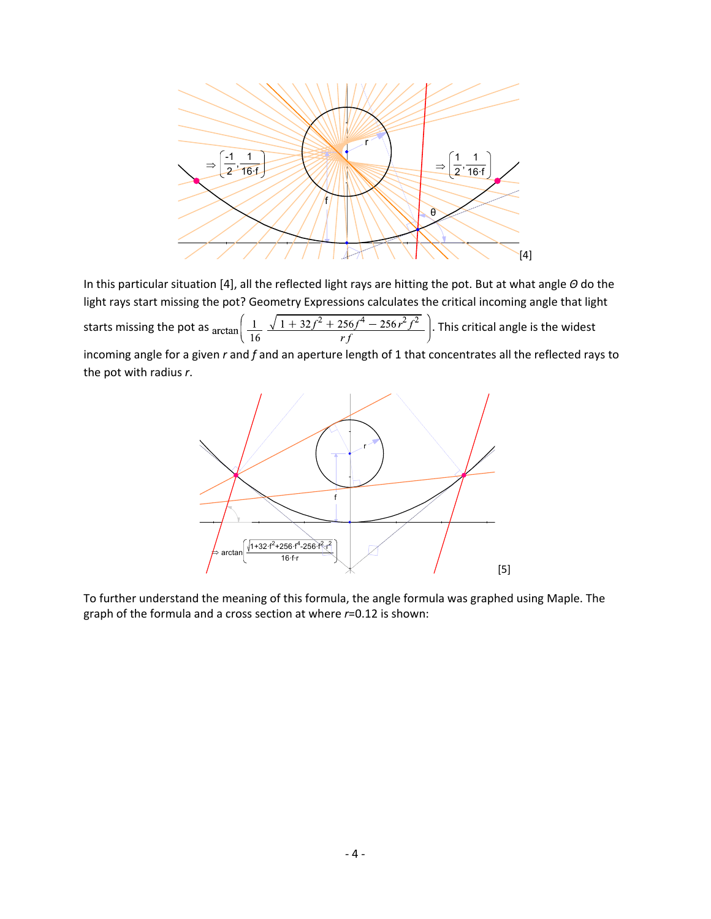

In this particular situation [4], all the reflected light rays are hitting the pot. But at what angle *Θ* do the light rays start missing the pot? Geometry Expressions calculates the critical incoming angle that light starts missing the pot as  $\arctan\left(\frac{1}{16} \frac{\sqrt{1+32f^2+256f^4-256r^2f^2}}{rf}\right)$ . This critical angle is the widest incoming angle for a given *r* and *f* and an aperture length of 1 that concentrates all the reflected rays to the pot with radius *r*.



To further understand the meaning of this formula, the angle formula was graphed using Maple. The graph of the formula and a cross section at where *r*=0.12 is shown: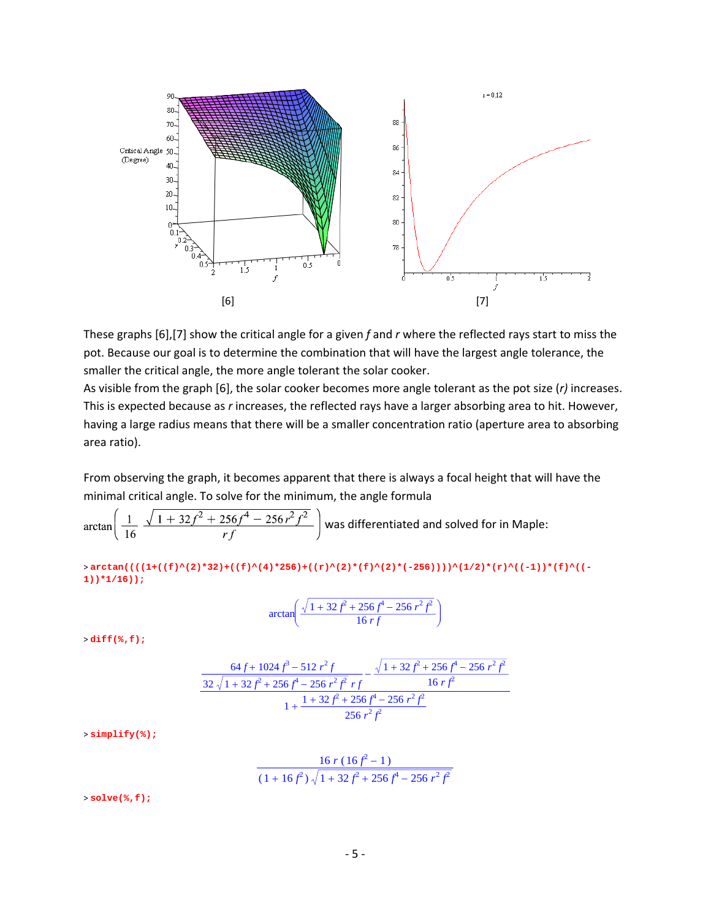

These graphs [6],[7] show the critical angle for a given *f* and *r* where the reflected rays start to miss the pot. Because our goal is to determine the combination that will have the largest angle tolerance, the smaller the critical angle, the more angle tolerant the solar cooker.

As visible from the graph [6], the solar cooker becomes more angle tolerant as the pot size (*r)* increases. This is expected because as *r* increases, the reflected rays have a larger absorbing area to hit. However, having a large radius means that there will be a smaller concentration ratio (aperture area to absorbing area ratio).

From observing the graph, it becomes apparent that there is always a focal height that will have the minimal critical angle. To solve for the minimum, the angle formula

$$
\arctan\left(\frac{1}{16} \frac{\sqrt{1+32f^2+256f^4-256r^2f^2}}{rf}\right)
$$
 was differentiated and solved for in Maple:

>arctan((((1+((f)^(2)\*32)+((f)^(4)\*256)+((r)^(2)\*(f)^(2)\*(-256))))^(1/2)\*(r)^((-1))\*(f)^((-**1))\*1/16));**

$$
\arctan\left(\frac{\sqrt{1+32f^2+256f^4-256r^2f^2}}{16\,rf}\right)
$$

> **diff(%,f);**

$$
\frac{64 f + 1024 f^3 - 512 r^2 f}{32 \sqrt{1 + 32 f^2 + 256 f^4 - 256 r^2 f^2} r f} - \frac{\sqrt{1 + 32 f^2 + 256 f^4 - 256 r^2 f^2}}{16 r f^2}
$$
  
16 r f<sup>2</sup>  
1 +  $\frac{1 + 32 f^2 + 256 f^4 - 256 r^2 f^2}{256 r^2 f^2}$ 

> **simplify(%);**

$$
\frac{16 r (16 f2 - 1)}{(1 + 16 f2) \sqrt{1 + 32 f2 + 256 f4 - 256 r2 f2}}
$$

> **solve(%,f);**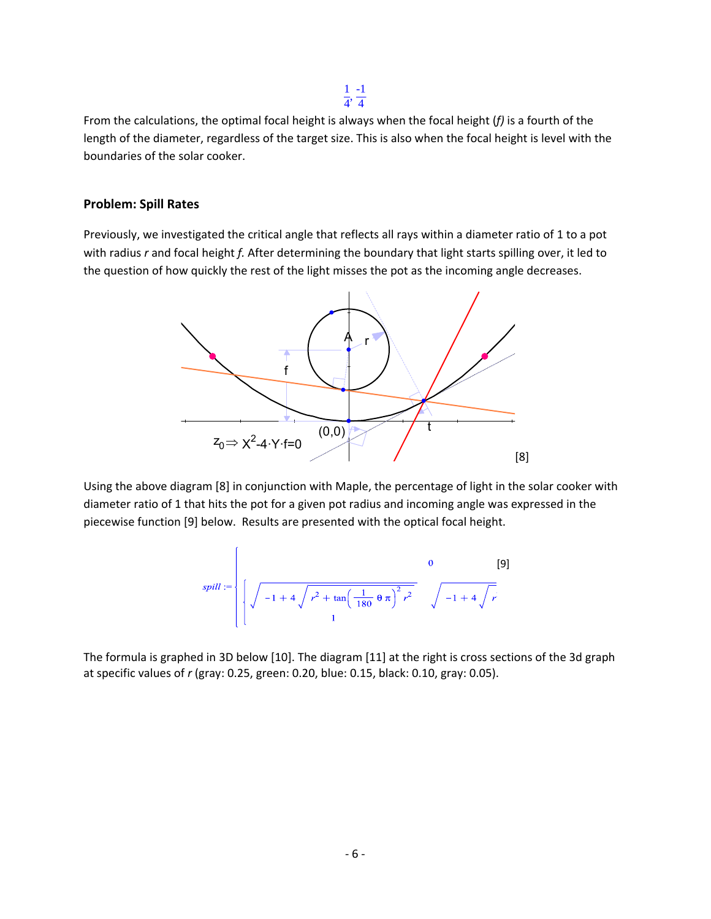$\frac{1}{4}$ 4 -1 4

From the calculations, the optimal focal height is always when the focal height (*f)* is a fourth of the length of the diameter, regardless of the target size. This is also when the focal height is level with the boundaries of the solar cooker.

#### **Problem: Spill Rates**

Previously, we investigated the critical angle that reflects all rays within a diameter ratio of 1 to a pot with radius *r* and focal height *f.* After determining the boundary that light starts spilling over, it led to the question of how quickly the rest of the light misses the pot as the incoming angle decreases.



Using the above diagram [8] in conjunction with Maple, the percentage of light in the solar cooker with diameter ratio of 1 that hits the pot for a given pot radius and incoming angle was expressed in the piecewise function [9] below. Results are presented with the optical focal height.

$$
split := \left\{ \sqrt{-1 + 4 \sqrt{r^2 + \tan \left( \frac{1}{180} \theta \pi \right)^2 r^2}} \quad \sqrt{-1 + 4 \sqrt{r}} \right\}
$$
 [9]

The formula is graphed in 3D below [10]. The diagram [11] at the right is cross sections of the 3d graph at specific values of *r* (gray: 0.25, green: 0.20, blue: 0.15, black: 0.10, gray: 0.05).